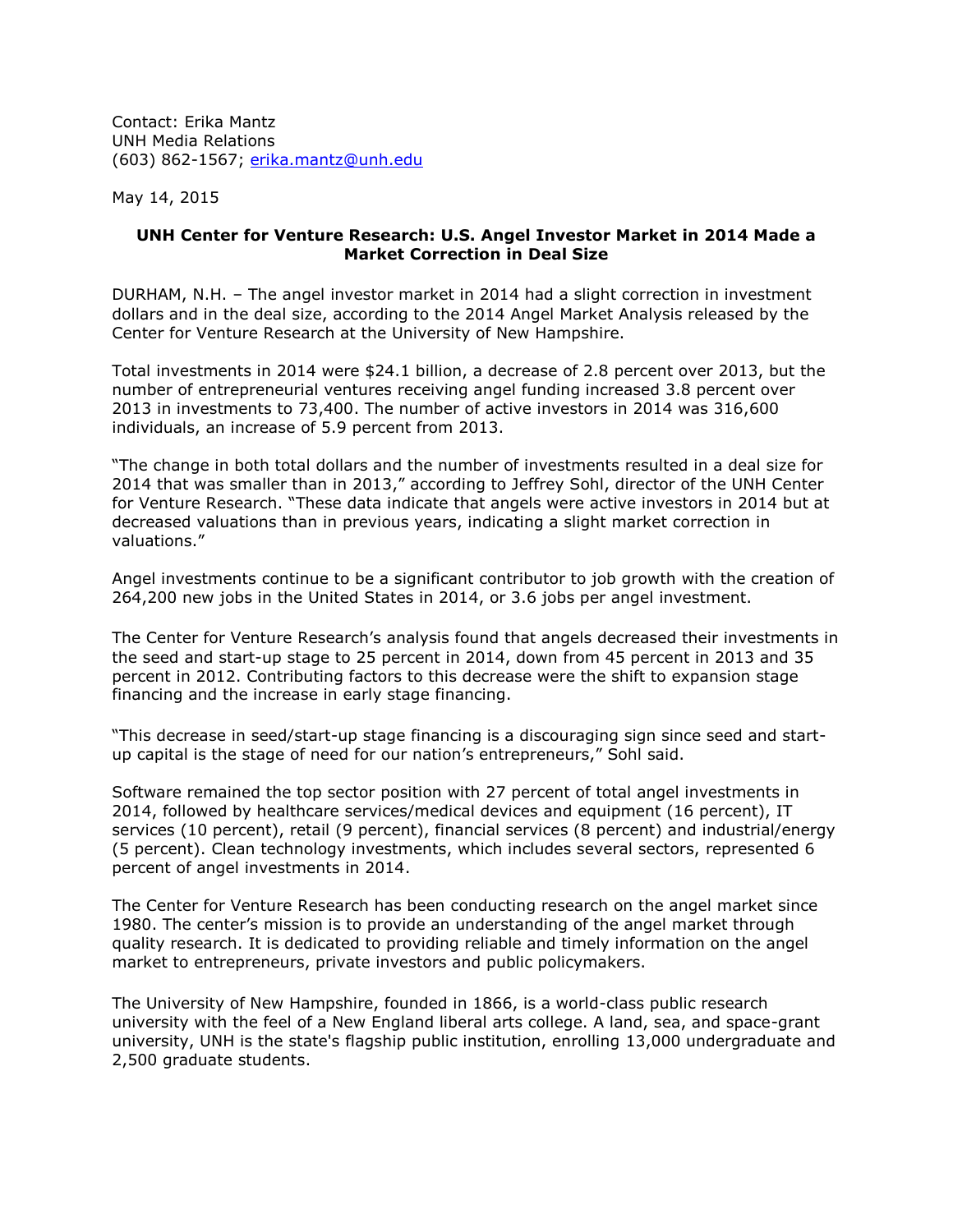Contact: Erika Mantz UNH Media Relations (603) 862-1567; [erika.mantz@unh.edu](mailto:erika.mantz@unh.edu)

May 14, 2015

## **UNH Center for Venture Research: U.S. Angel Investor Market in 2014 Made a Market Correction in Deal Size**

DURHAM, N.H. – The angel investor market in 2014 had a slight correction in investment dollars and in the deal size, according to the 2014 Angel Market Analysis released by the Center for Venture Research at the University of New Hampshire.

Total investments in 2014 were \$24.1 billion, a decrease of 2.8 percent over 2013, but the number of entrepreneurial ventures receiving angel funding increased 3.8 percent over 2013 in investments to 73,400. The number of active investors in 2014 was 316,600 individuals, an increase of 5.9 percent from 2013.

"The change in both total dollars and the number of investments resulted in a deal size for 2014 that was smaller than in 2013," according to Jeffrey Sohl, director of the UNH Center for Venture Research. "These data indicate that angels were active investors in 2014 but at decreased valuations than in previous years, indicating a slight market correction in valuations."

Angel investments continue to be a significant contributor to job growth with the creation of 264,200 new jobs in the United States in 2014, or 3.6 jobs per angel investment.

The Center for Venture Research's analysis found that angels decreased their investments in the seed and start-up stage to 25 percent in 2014, down from 45 percent in 2013 and 35 percent in 2012. Contributing factors to this decrease were the shift to expansion stage financing and the increase in early stage financing.

"This decrease in seed/start-up stage financing is a discouraging sign since seed and startup capital is the stage of need for our nation's entrepreneurs," Sohl said.

Software remained the top sector position with 27 percent of total angel investments in 2014, followed by healthcare services/medical devices and equipment (16 percent), IT services (10 percent), retail (9 percent), financial services (8 percent) and industrial/energy (5 percent). Clean technology investments, which includes several sectors, represented 6 percent of angel investments in 2014.

The Center for Venture Research has been conducting research on the angel market since 1980. The center's mission is to provide an understanding of the angel market through quality research. It is dedicated to providing reliable and timely information on the angel market to entrepreneurs, private investors and public policymakers.

The University of New Hampshire, founded in 1866, is a world-class public research university with the feel of a New England liberal arts college. A land, sea, and space-grant university, UNH is the state's flagship public institution, enrolling 13,000 undergraduate and 2,500 graduate students.